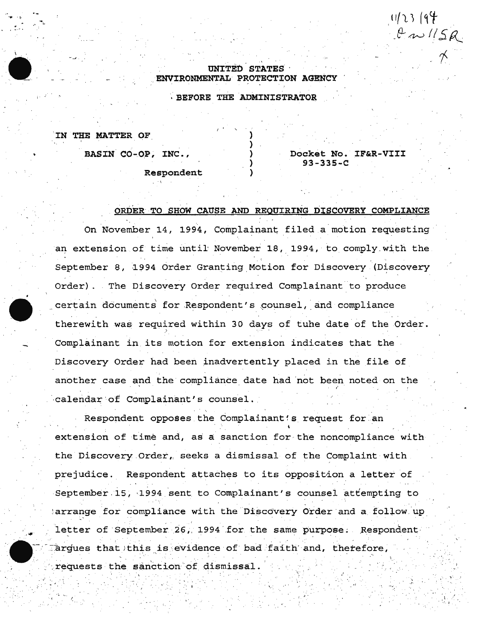## UNITED STATES ENVIRONMENTAL PROTECTION AGENCY

· BEFORE THE ADMINISTRATOR,

) ) } } )

.IN THE MATTER OF

. .,.. ·~ . *... . i.* 

BASIN CO-OP, INC.,

Docket No. IF&R-VIII 93-335-C

 $11/23$   $(94)$ 

\

. . ·'

 $\frac{1}{2}$ .

 $W^{\prime\prime}$ 

*'f* 

Respondent

## ORDER ·TO SHOW CAUSE AND REQUIRING DISCOVERY COMPLIANCE

On November 14, 1994, Complainant filed a motion requesting an extension of time until November 18, 1994, to comply with the September 8, 1994 Order Granting Motion for Discovery (Discovery Order) . The Discovery Order required Complainant to produce certain documents for Respondent's counsel, and compliance therewith was required within 30 days of tuhe date of the Order. ·' Complainant in its motion for extension indicates that the Discovery Order had been inadvertently placed in the file of another case and the compliance date had not been noted on the calendar of Complainant's counsel.

Respondent opposes the Complainant's request for an extension of time and, as a sanction for the noncompliance with the Discovery Order, seeks a dismissal of the Complaint with prejudice. Respondent attaches to its opposition a letter of September 15, 1994 sent to Complainant's counsel attempting to arrange for compliance with the Discovery Order and a follow up letter of September 26, 1994 for the same purpose. Respondent argues that this is evidence of bad faith and, therefore, requests the sanction of dismissal.

. ~ ... . • • I ;. ,\_'

. · I . .. \< .. .